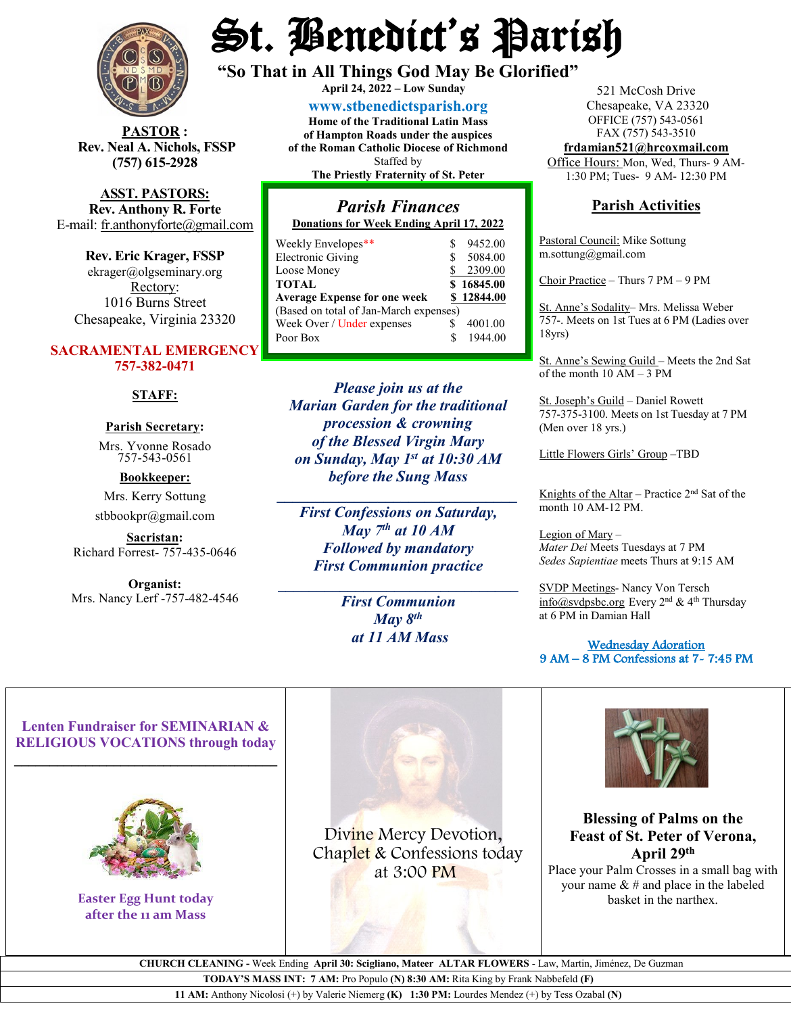

**STOR** : **Rev. Neal A. Nichols, FSSP (757) 615-2928** 

**ASST. PASTORS: Rev. Anthony R. Forte** E-mail: [fr.anthonyforte@gmail.com](mailto:fr.anthonyforte@gmail.com)

**Rev. Eric Krager, FSSP** ekrager@olgseminary.org Rectory: 1016 Burns Street Chesapeake, Virginia 23320

#### **SACRAMENTAL EMERGENCY 757-382-0471**

#### **STAFF:**

### **Parish Secretary:**

Mrs. Yvonne Rosado757-543-0561

#### **Bookkeeper:** Mrs. Kerry Sottung

stbbookpr@gmail.com

**Sacristan:**  Richard Forrest- 757-435-0646

**Organist:** Mrs. Nancy Lerf -757-482-4546

# St. Benedict's Parish

**"So That in All Things God May Be Glorified" April 24, <sup>2022</sup> – Low Sunday**

**[www.stbenedictsparish.org](http://www.stbenedictsparish.org/)**

**Home of the Traditional Latin Mass of Hampton Roads under the auspices of the Roman Catholic Diocese of Richmond** Staffed by **The Priestly Fraternity of St. Peter**

#### *Parish Finances* **Donations for Week Ending April 17, 2022**

| Weekly Envelopes**                     |  | 9452.00    |  |  |  |  |  |
|----------------------------------------|--|------------|--|--|--|--|--|
| <b>Electronic Giving</b>               |  | 5084.00    |  |  |  |  |  |
| Loose Money                            |  | 2309.00    |  |  |  |  |  |
| <b>TOTAL</b>                           |  | \$16845.00 |  |  |  |  |  |
| <b>Average Expense for one week</b>    |  | \$12844.00 |  |  |  |  |  |
| (Based on total of Jan-March expenses) |  |            |  |  |  |  |  |
| Week Over / Under expenses             |  | 4001.00    |  |  |  |  |  |
| Poor Box                               |  | 1944.00    |  |  |  |  |  |
|                                        |  |            |  |  |  |  |  |

*Please join us at the Marian Garden for the traditional procession & crowning of the Blessed Virgin Mary on Sunday, May 1st at 10:30 AM before the Sung Mass*

*First Confessions on Saturday, May 7th at 10 AM Followed by mandatory First Communion practice*

**\_\_\_\_\_\_\_\_\_\_\_\_\_\_\_\_\_\_\_\_\_\_\_\_\_\_\_\_\_\_\_**

*\_\_\_\_\_\_\_\_\_\_\_\_\_\_\_\_\_\_\_\_\_\_\_\_\_\_\_\_\_\_\_*

*First Communion May 8th at 11 AM Mass*

521 McCosh Drive Chesapeake, VA 23320 OFFICE (757) 543-0561 FAX (757) 543-3510 **[frdamian521@hrcoxmail.com](mailto:frdamian521@hrcoxmail.com)**

Office Hours: Mon, Wed, Thurs- 9 AM-

1:30 PM; Tues- 9 AM- 12:30 PM

#### **Parish Activities**

Pastoral Council: Mike Sottung m.sottung@gmail.com

Choir Practice – Thurs 7 PM – 9 PM

St. Anne's Sodality– Mrs. Melissa Weber 757-. Meets on 1st Tues at 6 PM (Ladies over 18yrs)

St. Anne's Sewing Guild – Meets the 2nd Sat of the month 10 AM – 3 PM

St. Joseph's Guild – Daniel Rowett 757-375-3100. Meets on 1st Tuesday at 7 PM (Men over 18 yrs.)

Little Flowers Girls' Group –TBD

Knights of the Altar – Practice  $2<sup>nd</sup>$  Sat of the month 10 AM-12 PM.

Legion of Mary – *Mater Dei* Meets Tuesdays at 7 PM *Sedes Sapientiae* meets Thurs at 9:15 AM

SVDP Meetings- Nancy Von Tersch  $info@svdpsbc.org$  Every  $2<sup>nd</sup>$  & 4<sup>th</sup> Thursday at 6 PM in Damian Hall

 Wednesday Adoration 9 AM – 8 PM Confessions at 7- 7:45 PM

#### **Lenten Fundraiser for SEMINARIAN & RELIGIOUS VOCATIONS through today \_\_\_\_\_\_\_\_\_\_\_\_\_\_\_\_\_\_\_\_\_\_\_\_\_\_\_\_\_\_\_\_\_\_\_\_\_**



**Easter Egg Hunt today after the 11 am Mass**



Divine Mercy Devotion, Chaplet & Confessions today at 3:00 PM



#### **Blessing of Palms on the Feast of St. Peter of Verona, April 29th**

Place your Palm Crosses in a small bag with your name & # and place in the labeled basket in the narthex.

 **CHURCH CLEANING -** Week Ending **April 30: Scigliano, Mateer ALTAR FLOWERS** - Law, Martin, Jiménez, De Guzman

**TODAY'S MASS INT: 7 AM:** Pro Populo **(N) 8:30 AM:** Rita King by Frank Nabbefeld **(F)**

**11 AM:** Anthony Nicolosi (+) by Valerie Niemerg **(K) 1:30 PM:** Lourdes Mendez (+) by Tess Ozabal **(N)**